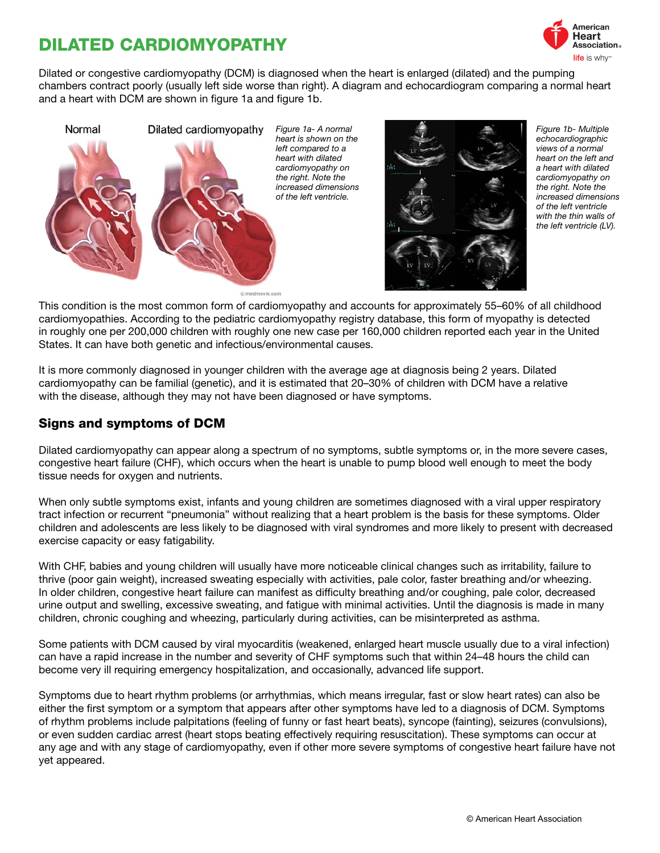# DILATED CARDIOMYOPATHY



Dilated or congestive cardiomyopathy (DCM) is diagnosed when the heart is enlarged (dilated) and the pumping chambers contract poorly (usually left side worse than right). A diagram and echocardiogram comparing a normal heart and a heart with DCM are shown in figure 1a and figure 1b.



This condition is the most common form of cardiomyopathy and accounts for approximately 55–60% of all childhood cardiomyopathies. According to the pediatric cardiomyopathy registry database, this form of myopathy is detected in roughly one per 200,000 children with roughly one new case per 160,000 children reported each year in the United

It is more commonly diagnosed in younger children with the average age at diagnosis being 2 years. Dilated cardiomyopathy can be familial (genetic), and it is estimated that 20–30% of children with DCM have a relative with the disease, although they may not have been diagnosed or have symptoms.

#### Signs and symptoms of DCM

States. It can have both genetic and infectious/environmental causes.

Dilated cardiomyopathy can appear along a spectrum of no symptoms, subtle symptoms or, in the more severe cases, congestive heart failure (CHF), which occurs when the heart is unable to pump blood well enough to meet the body tissue needs for oxygen and nutrients.

When only subtle symptoms exist, infants and young children are sometimes diagnosed with a viral upper respiratory tract infection or recurrent "pneumonia" without realizing that a heart problem is the basis for these symptoms. Older children and adolescents are less likely to be diagnosed with viral syndromes and more likely to present with decreased exercise capacity or easy fatigability.

With CHF, babies and young children will usually have more noticeable clinical changes such as irritability, failure to thrive (poor gain weight), increased sweating especially with activities, pale color, faster breathing and/or wheezing. In older children, congestive heart failure can manifest as difficulty breathing and/or coughing, pale color, decreased urine output and swelling, excessive sweating, and fatigue with minimal activities. Until the diagnosis is made in many children, chronic coughing and wheezing, particularly during activities, can be misinterpreted as asthma.

Some patients with DCM caused by viral myocarditis (weakened, enlarged heart muscle usually due to a viral infection) can have a rapid increase in the number and severity of CHF symptoms such that within 24–48 hours the child can become very ill requiring emergency hospitalization, and occasionally, advanced life support.

Symptoms due to heart rhythm problems (or arrhythmias, which means irregular, fast or slow heart rates) can also be either the first symptom or a symptom that appears after other symptoms have led to a diagnosis of DCM. Symptoms of rhythm problems include palpitations (feeling of funny or fast heart beats), syncope (fainting), seizures (convulsions), or even sudden cardiac arrest (heart stops beating effectively requiring resuscitation). These symptoms can occur at any age and with any stage of cardiomyopathy, even if other more severe symptoms of congestive heart failure have not yet appeared.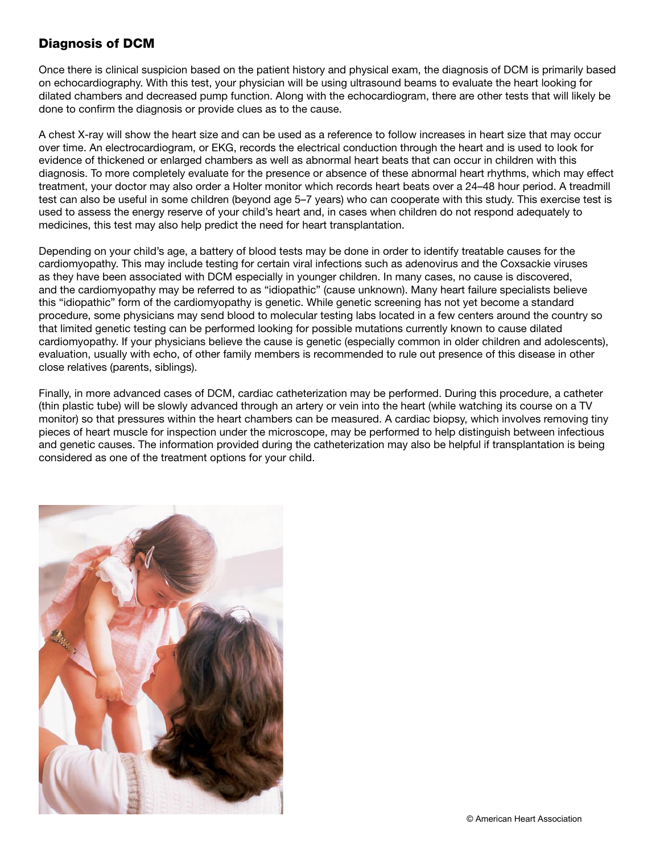## Diagnosis of DCM

Once there is clinical suspicion based on the patient history and physical exam, the diagnosis of DCM is primarily based on echocardiography. With this test, your physician will be using ultrasound beams to evaluate the heart looking for dilated chambers and decreased pump function. Along with the echocardiogram, there are other tests that will likely be done to confirm the diagnosis or provide clues as to the cause.

A chest X-ray will show the heart size and can be used as a reference to follow increases in heart size that may occur over time. An electrocardiogram, or EKG, records the electrical conduction through the heart and is used to look for evidence of thickened or enlarged chambers as well as abnormal heart beats that can occur in children with this diagnosis. To more completely evaluate for the presence or absence of these abnormal heart rhythms, which may effect treatment, your doctor may also order a Holter monitor which records heart beats over a 24–48 hour period. A treadmill test can also be useful in some children (beyond age 5–7 years) who can cooperate with this study. This exercise test is used to assess the energy reserve of your child's heart and, in cases when children do not respond adequately to medicines, this test may also help predict the need for heart transplantation.

Depending on your child's age, a battery of blood tests may be done in order to identify treatable causes for the cardiomyopathy. This may include testing for certain viral infections such as adenovirus and the Coxsackie viruses as they have been associated with DCM especially in younger children. In many cases, no cause is discovered, and the cardiomyopathy may be referred to as "idiopathic" (cause unknown). Many heart failure specialists believe this "idiopathic" form of the cardiomyopathy is genetic. While genetic screening has not yet become a standard procedure, some physicians may send blood to molecular testing labs located in a few centers around the country so that limited genetic testing can be performed looking for possible mutations currently known to cause dilated cardiomyopathy. If your physicians believe the cause is genetic (especially common in older children and adolescents), evaluation, usually with echo, of other family members is recommended to rule out presence of this disease in other close relatives (parents, siblings).

Finally, in more advanced cases of DCM, cardiac catheterization may be performed. During this procedure, a catheter (thin plastic tube) will be slowly advanced through an artery or vein into the heart (while watching its course on a TV monitor) so that pressures within the heart chambers can be measured. A cardiac biopsy, which involves removing tiny pieces of heart muscle for inspection under the microscope, may be performed to help distinguish between infectious and genetic causes. The information provided during the catheterization may also be helpful if transplantation is being considered as one of the treatment options for your child.

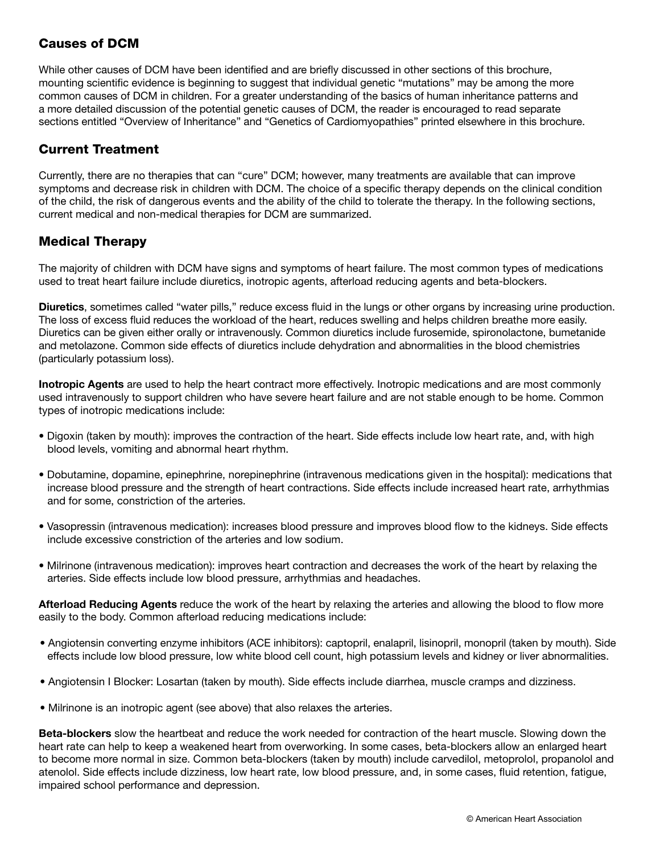### Causes of DCM

While other causes of DCM have been identified and are briefly discussed in other sections of this brochure, mounting scientific evidence is beginning to suggest that individual genetic "mutations" may be among the more common causes of DCM in children. For a greater understanding of the basics of human inheritance patterns and a more detailed discussion of the potential genetic causes of DCM, the reader is encouraged to read separate sections entitled "Overview of Inheritance" and "Genetics of Cardiomyopathies" printed elsewhere in this brochure.

## Current Treatment

Currently, there are no therapies that can "cure" DCM; however, many treatments are available that can improve symptoms and decrease risk in children with DCM. The choice of a specific therapy depends on the clinical condition of the child, the risk of dangerous events and the ability of the child to tolerate the therapy. In the following sections, current medical and non-medical therapies for DCM are summarized.

## Medical Therapy

The majority of children with DCM have signs and symptoms of heart failure. The most common types of medications used to treat heart failure include diuretics, inotropic agents, afterload reducing agents and beta-blockers.

Diuretics, sometimes called "water pills," reduce excess fluid in the lungs or other organs by increasing urine production. The loss of excess fluid reduces the workload of the heart, reduces swelling and helps children breathe more easily. Diuretics can be given either orally or intravenously. Common diuretics include furosemide, spironolactone, bumetanide and metolazone. Common side effects of diuretics include dehydration and abnormalities in the blood chemistries (particularly potassium loss).

Inotropic Agents are used to help the heart contract more effectively. Inotropic medications and are most commonly used intravenously to support children who have severe heart failure and are not stable enough to be home. Common types of inotropic medications include:

- Digoxin (taken by mouth): improves the contraction of the heart. Side effects include low heart rate, and, with high blood levels, vomiting and abnormal heart rhythm.
- Dobutamine, dopamine, epinephrine, norepinephrine (intravenous medications given in the hospital): medications that increase blood pressure and the strength of heart contractions. Side effects include increased heart rate, arrhythmias and for some, constriction of the arteries.
- Vasopressin (intravenous medication): increases blood pressure and improves blood flow to the kidneys. Side effects include excessive constriction of the arteries and low sodium.
- Milrinone (intravenous medication): improves heart contraction and decreases the work of the heart by relaxing the arteries. Side effects include low blood pressure, arrhythmias and headaches.

Afterload Reducing Agents reduce the work of the heart by relaxing the arteries and allowing the blood to flow more easily to the body. Common afterload reducing medications include:

- Angiotensin converting enzyme inhibitors (ACE inhibitors): captopril, enalapril, lisinopril, monopril (taken by mouth). Side effects include low blood pressure, low white blood cell count, high potassium levels and kidney or liver abnormalities.
- Angiotensin I Blocker: Losartan (taken by mouth). Side effects include diarrhea, muscle cramps and dizziness.
- Milrinone is an inotropic agent (see above) that also relaxes the arteries.

Beta-blockers slow the heartbeat and reduce the work needed for contraction of the heart muscle. Slowing down the heart rate can help to keep a weakened heart from overworking. In some cases, beta-blockers allow an enlarged heart to become more normal in size. Common beta-blockers (taken by mouth) include carvedilol, metoprolol, propanolol and atenolol. Side effects include dizziness, low heart rate, low blood pressure, and, in some cases, fluid retention, fatigue, impaired school performance and depression.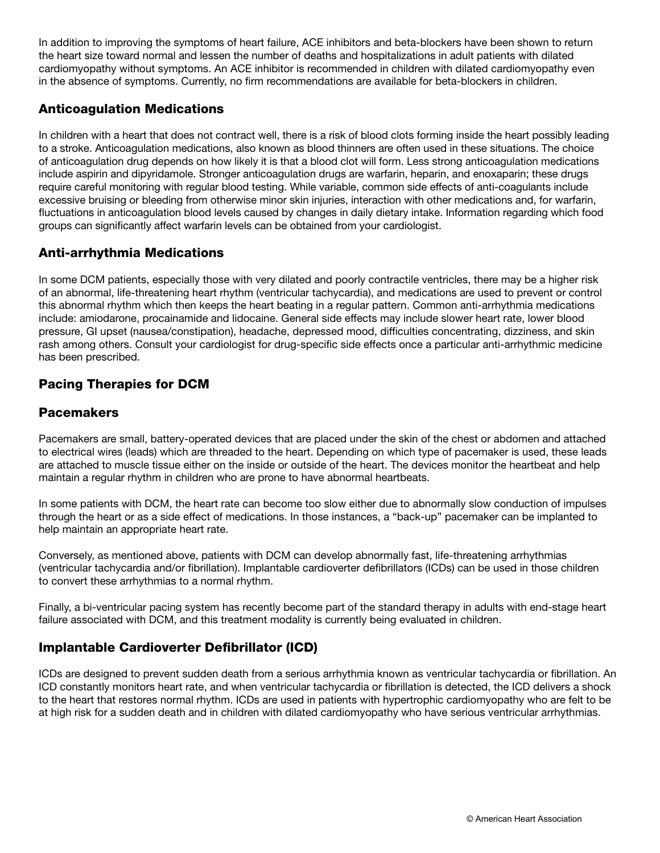In addition to improving the symptoms of heart failure, ACE inhibitors and beta-blockers have been shown to return the heart size toward normal and lessen the number of deaths and hospitalizations in adult patients with dilated cardiomyopathy without symptoms. An ACE inhibitor is recommended in children with dilated cardiomyopathy even in the absence of symptoms. Currently, no firm recommendations are available for beta-blockers in children.

## Anticoagulation Medications

In children with a heart that does not contract well, there is a risk of blood clots forming inside the heart possibly leading to a stroke. Anticoagulation medications, also known as blood thinners are often used in these situations. The choice of anticoagulation drug depends on how likely it is that a blood clot will form. Less strong anticoagulation medications include aspirin and dipyridamole. Stronger anticoagulation drugs are warfarin, heparin, and enoxaparin; these drugs require careful monitoring with regular blood testing. While variable, common side effects of anti-coagulants include excessive bruising or bleeding from otherwise minor skin injuries, interaction with other medications and, for warfarin, fluctuations in anticoagulation blood levels caused by changes in daily dietary intake. Information regarding which food groups can significantly affect warfarin levels can be obtained from your cardiologist.

## Anti-arrhythmia Medications

In some DCM patients, especially those with very dilated and poorly contractile ventricles, there may be a higher risk of an abnormal, life-threatening heart rhythm (ventricular tachycardia), and medications are used to prevent or control this abnormal rhythm which then keeps the heart beating in a regular pattern. Common anti-arrhythmia medications include: amiodarone, procainamide and lidocaine. General side effects may include slower heart rate, lower blood pressure, GI upset (nausea/constipation), headache, depressed mood, difficulties concentrating, dizziness, and skin rash among others. Consult your cardiologist for drug-specific side effects once a particular anti-arrhythmic medicine has been prescribed.

# Pacing Therapies for DCM

#### **Pacemakers**

Pacemakers are small, battery-operated devices that are placed under the skin of the chest or abdomen and attached to electrical wires (leads) which are threaded to the heart. Depending on which type of pacemaker is used, these leads are attached to muscle tissue either on the inside or outside of the heart. The devices monitor the heartbeat and help maintain a regular rhythm in children who are prone to have abnormal heartbeats.

In some patients with DCM, the heart rate can become too slow either due to abnormally slow conduction of impulses through the heart or as a side effect of medications. In those instances, a "back-up" pacemaker can be implanted to help maintain an appropriate heart rate.

Conversely, as mentioned above, patients with DCM can develop abnormally fast, life-threatening arrhythmias (ventricular tachycardia and/or fibrillation). Implantable cardioverter defibrillators (ICDs) can be used in those children to convert these arrhythmias to a normal rhythm.

Finally, a bi-ventricular pacing system has recently become part of the standard therapy in adults with end-stage heart failure associated with DCM, and this treatment modality is currently being evaluated in children.

### Implantable Cardioverter Defibrillator (ICD)

ICDs are designed to prevent sudden death from a serious arrhythmia known as ventricular tachycardia or fibrillation. An ICD constantly monitors heart rate, and when ventricular tachycardia or fibrillation is detected, the ICD delivers a shock to the heart that restores normal rhythm. ICDs are used in patients with hypertrophic cardiomyopathy who are felt to be at high risk for a sudden death and in children with dilated cardiomyopathy who have serious ventricular arrhythmias.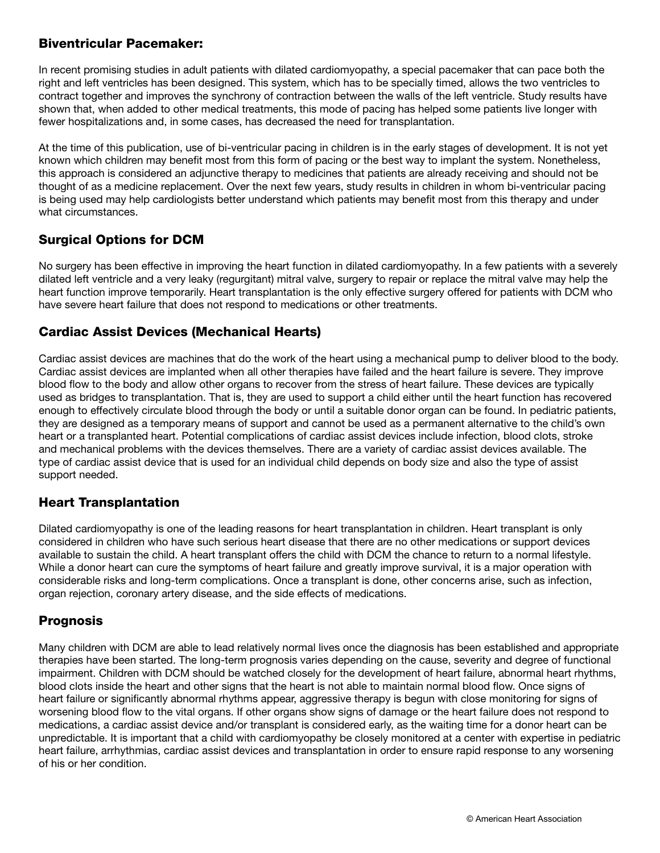### Biventricular Pacemaker:

In recent promising studies in adult patients with dilated cardiomyopathy, a special pacemaker that can pace both the right and left ventricles has been designed. This system, which has to be specially timed, allows the two ventricles to contract together and improves the synchrony of contraction between the walls of the left ventricle. Study results have shown that, when added to other medical treatments, this mode of pacing has helped some patients live longer with fewer hospitalizations and, in some cases, has decreased the need for transplantation.

At the time of this publication, use of bi-ventricular pacing in children is in the early stages of development. It is not yet known which children may benefit most from this form of pacing or the best way to implant the system. Nonetheless, this approach is considered an adjunctive therapy to medicines that patients are already receiving and should not be thought of as a medicine replacement. Over the next few years, study results in children in whom bi-ventricular pacing is being used may help cardiologists better understand which patients may benefit most from this therapy and under what circumstances.

# Surgical Options for DCM

No surgery has been effective in improving the heart function in dilated cardiomyopathy. In a few patients with a severely dilated left ventricle and a very leaky (regurgitant) mitral valve, surgery to repair or replace the mitral valve may help the heart function improve temporarily. Heart transplantation is the only effective surgery offered for patients with DCM who have severe heart failure that does not respond to medications or other treatments.

### Cardiac Assist Devices (Mechanical Hearts)

Cardiac assist devices are machines that do the work of the heart using a mechanical pump to deliver blood to the body. Cardiac assist devices are implanted when all other therapies have failed and the heart failure is severe. They improve blood flow to the body and allow other organs to recover from the stress of heart failure. These devices are typically used as bridges to transplantation. That is, they are used to support a child either until the heart function has recovered enough to effectively circulate blood through the body or until a suitable donor organ can be found. In pediatric patients, they are designed as a temporary means of support and cannot be used as a permanent alternative to the child's own heart or a transplanted heart. Potential complications of cardiac assist devices include infection, blood clots, stroke and mechanical problems with the devices themselves. There are a variety of cardiac assist devices available. The type of cardiac assist device that is used for an individual child depends on body size and also the type of assist support needed.

# Heart Transplantation

Dilated cardiomyopathy is one of the leading reasons for heart transplantation in children. Heart transplant is only considered in children who have such serious heart disease that there are no other medications or support devices available to sustain the child. A heart transplant offers the child with DCM the chance to return to a normal lifestyle. While a donor heart can cure the symptoms of heart failure and greatly improve survival, it is a major operation with considerable risks and long-term complications. Once a transplant is done, other concerns arise, such as infection, organ rejection, coronary artery disease, and the side effects of medications.

### Prognosis

Many children with DCM are able to lead relatively normal lives once the diagnosis has been established and appropriate therapies have been started. The long-term prognosis varies depending on the cause, severity and degree of functional impairment. Children with DCM should be watched closely for the development of heart failure, abnormal heart rhythms, blood clots inside the heart and other signs that the heart is not able to maintain normal blood flow. Once signs of heart failure or significantly abnormal rhythms appear, aggressive therapy is begun with close monitoring for signs of worsening blood flow to the vital organs. If other organs show signs of damage or the heart failure does not respond to medications, a cardiac assist device and/or transplant is considered early, as the waiting time for a donor heart can be unpredictable. It is important that a child with cardiomyopathy be closely monitored at a center with expertise in pediatric heart failure, arrhythmias, cardiac assist devices and transplantation in order to ensure rapid response to any worsening of his or her condition.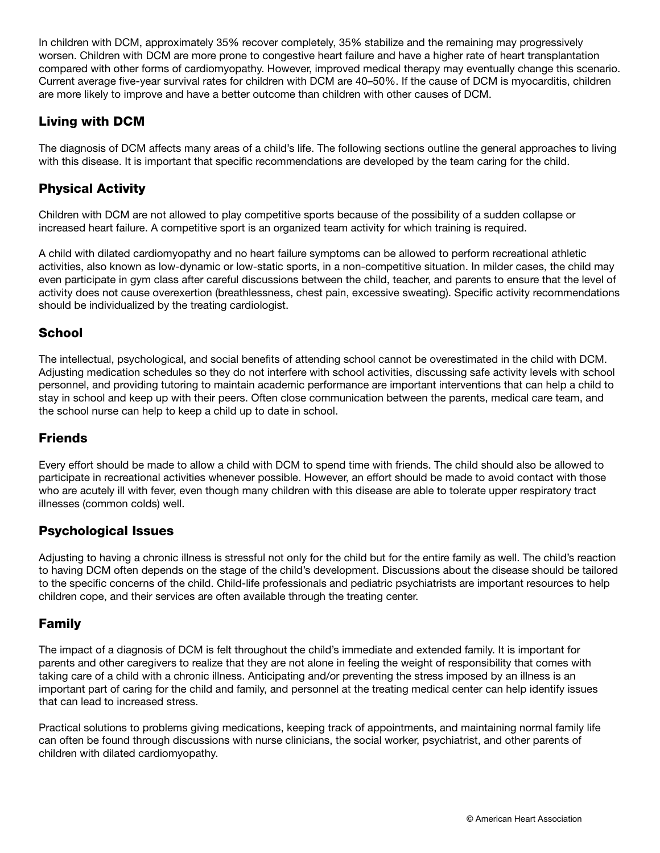In children with DCM, approximately 35% recover completely, 35% stabilize and the remaining may progressively worsen. Children with DCM are more prone to congestive heart failure and have a higher rate of heart transplantation compared with other forms of cardiomyopathy. However, improved medical therapy may eventually change this scenario. Current average five-year survival rates for children with DCM are 40–50%. If the cause of DCM is myocarditis, children are more likely to improve and have a better outcome than children with other causes of DCM.

## Living with DCM

The diagnosis of DCM affects many areas of a child's life. The following sections outline the general approaches to living with this disease. It is important that specific recommendations are developed by the team caring for the child.

## Physical Activity

Children with DCM are not allowed to play competitive sports because of the possibility of a sudden collapse or increased heart failure. A competitive sport is an organized team activity for which training is required.

A child with dilated cardiomyopathy and no heart failure symptoms can be allowed to perform recreational athletic activities, also known as low-dynamic or low-static sports, in a non-competitive situation. In milder cases, the child may even participate in gym class after careful discussions between the child, teacher, and parents to ensure that the level of activity does not cause overexertion (breathlessness, chest pain, excessive sweating). Specific activity recommendations should be individualized by the treating cardiologist.

#### **School**

The intellectual, psychological, and social benefits of attending school cannot be overestimated in the child with DCM. Adjusting medication schedules so they do not interfere with school activities, discussing safe activity levels with school personnel, and providing tutoring to maintain academic performance are important interventions that can help a child to stay in school and keep up with their peers. Often close communication between the parents, medical care team, and the school nurse can help to keep a child up to date in school.

### **Friends**

Every effort should be made to allow a child with DCM to spend time with friends. The child should also be allowed to participate in recreational activities whenever possible. However, an effort should be made to avoid contact with those who are acutely ill with fever, even though many children with this disease are able to tolerate upper respiratory tract illnesses (common colds) well.

#### Psychological Issues

Adjusting to having a chronic illness is stressful not only for the child but for the entire family as well. The child's reaction to having DCM often depends on the stage of the child's development. Discussions about the disease should be tailored to the specific concerns of the child. Child-life professionals and pediatric psychiatrists are important resources to help children cope, and their services are often available through the treating center.

### Family

The impact of a diagnosis of DCM is felt throughout the child's immediate and extended family. It is important for parents and other caregivers to realize that they are not alone in feeling the weight of responsibility that comes with taking care of a child with a chronic illness. Anticipating and/or preventing the stress imposed by an illness is an important part of caring for the child and family, and personnel at the treating medical center can help identify issues that can lead to increased stress.

Practical solutions to problems giving medications, keeping track of appointments, and maintaining normal family life can often be found through discussions with nurse clinicians, the social worker, psychiatrist, and other parents of children with dilated cardiomyopathy.